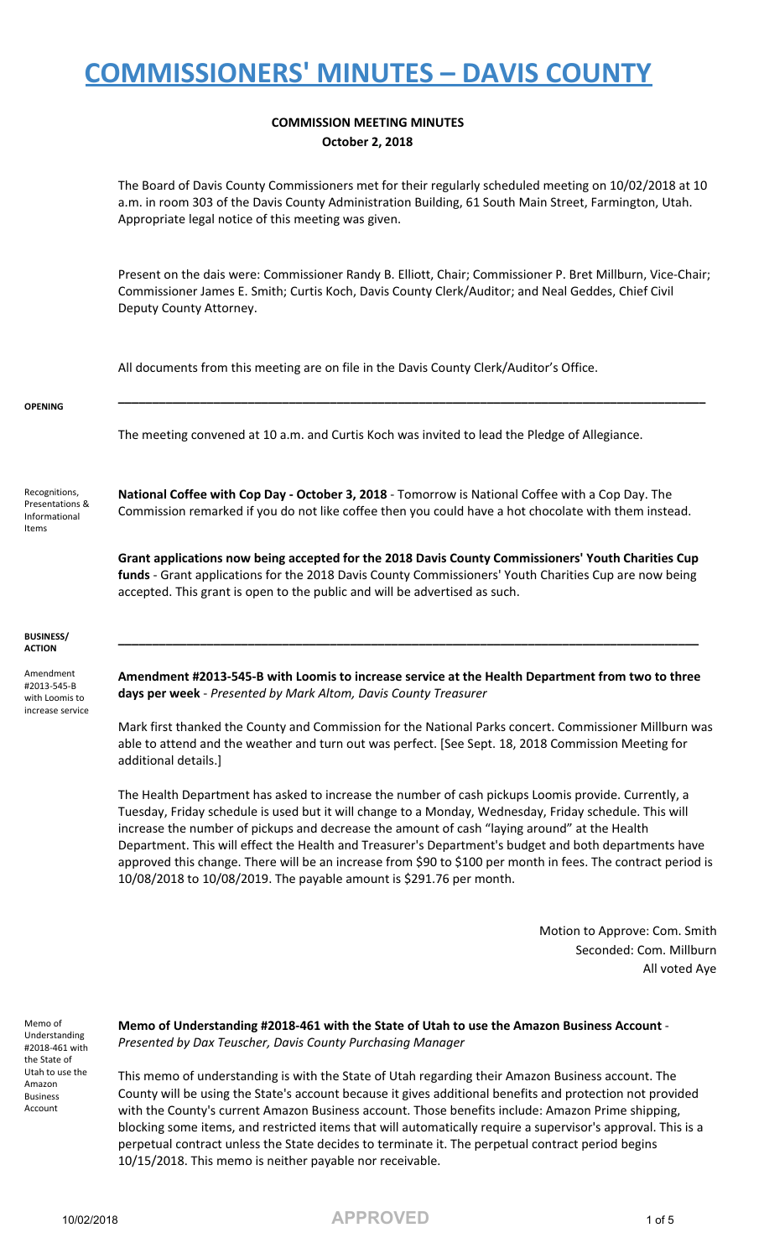#### **COMMISSION MEETING MINUTES October 2, 2018**

The Board of Davis County Commissioners met for their regularly scheduled meeting on 10/02/2018 at 10 a.m. in room 303 of the Davis County Administration Building, 61 South Main Street, Farmington, Utah. Appropriate legal notice of this meeting was given.

Present on the dais were: Commissioner Randy B. Elliott, Chair; Commissioner P. Bret Millburn, Vice-Chair; Commissioner James E. Smith; Curtis Koch, Davis County Clerk/Auditor; and Neal Geddes, Chief Civil Deputy County Attorney.

**\_\_\_\_\_\_\_\_\_\_\_\_\_\_\_\_\_\_\_\_\_\_\_\_\_\_\_\_\_\_\_\_\_\_\_\_\_\_\_\_\_\_\_\_\_\_\_\_\_\_\_\_\_\_\_\_\_\_\_\_\_\_\_\_\_\_\_\_\_\_\_\_\_\_\_\_\_\_\_\_\_\_\_\_\_\_**

All documents from this meeting are on file in the Davis County Clerk/Auditor's Office.

#### **OPENING**

The meeting convened at 10 a.m. and Curtis Koch was invited to lead the Pledge of Allegiance.

Recognitions, Presentations & Informational Items

**National Coffee with Cop Day - October 3, 2018** - Tomorrow is National Coffee with a Cop Day. The Commission remarked if you do not like coffee then you could have a hot chocolate with them instead.

**Grant applications now being accepted for the 2018 Davis County Commissioners' Youth Charities Cup funds** - Grant applications for the 2018 Davis County Commissioners' Youth Charities Cup are now being accepted. This grant is open to the public and will be advertised as such.

#### **BUSINESS/ ACTION**

Amendment #2013-545-B with Loomis to increase service

**Amendment #2013-545-B with Loomis to increase service at the Health Department from two to three days per week** - *Presented by Mark Altom, Davis County Treasurer*

**\_\_\_\_\_\_\_\_\_\_\_\_\_\_\_\_\_\_\_\_\_\_\_\_\_\_\_\_\_\_\_\_\_\_\_\_\_\_\_\_\_\_\_\_\_\_\_\_\_\_\_\_\_\_\_\_\_\_\_\_\_\_\_\_\_\_\_\_\_\_\_\_\_\_\_\_\_\_\_\_\_\_\_\_\_**

Mark first thanked the County and Commission for the National Parks concert. Commissioner Millburn was able to attend and the weather and turn out was perfect. [See Sept. 18, 2018 Commission Meeting for additional details.]

The Health Department has asked to increase the number of cash pickups Loomis provide. Currently, a Tuesday, Friday schedule is used but it will change to a Monday, Wednesday, Friday schedule. This will increase the number of pickups and decrease the amount of cash "laying around" at the Health Department. This will effect the Health and Treasurer's Department's budget and both departments have approved this change. There will be an increase from \$90 to \$100 per month in fees. The contract period is 10/08/2018 to 10/08/2019. The payable amount is \$291.76 per month.

> Motion to Approve: Com. Smith Seconded: Com. Millburn All voted Aye

Memo of Understanding #2018-461 with the State of Utah to use the Amazon Business Account

**Memo of Understanding #2018-461 with the State of Utah to use the Amazon Business Account** - *Presented by Dax Teuscher, Davis County Purchasing Manager*

This memo of understanding is with the State of Utah regarding their Amazon Business account. The County will be using the State's account because it gives additional benefits and protection not provided with the County's current Amazon Business account. Those benefits include: Amazon Prime shipping, blocking some items, and restricted items that will automatically require a supervisor's approval. This is a perpetual contract unless the State decides to terminate it. The perpetual contract period begins 10/15/2018. This memo is neither payable nor receivable.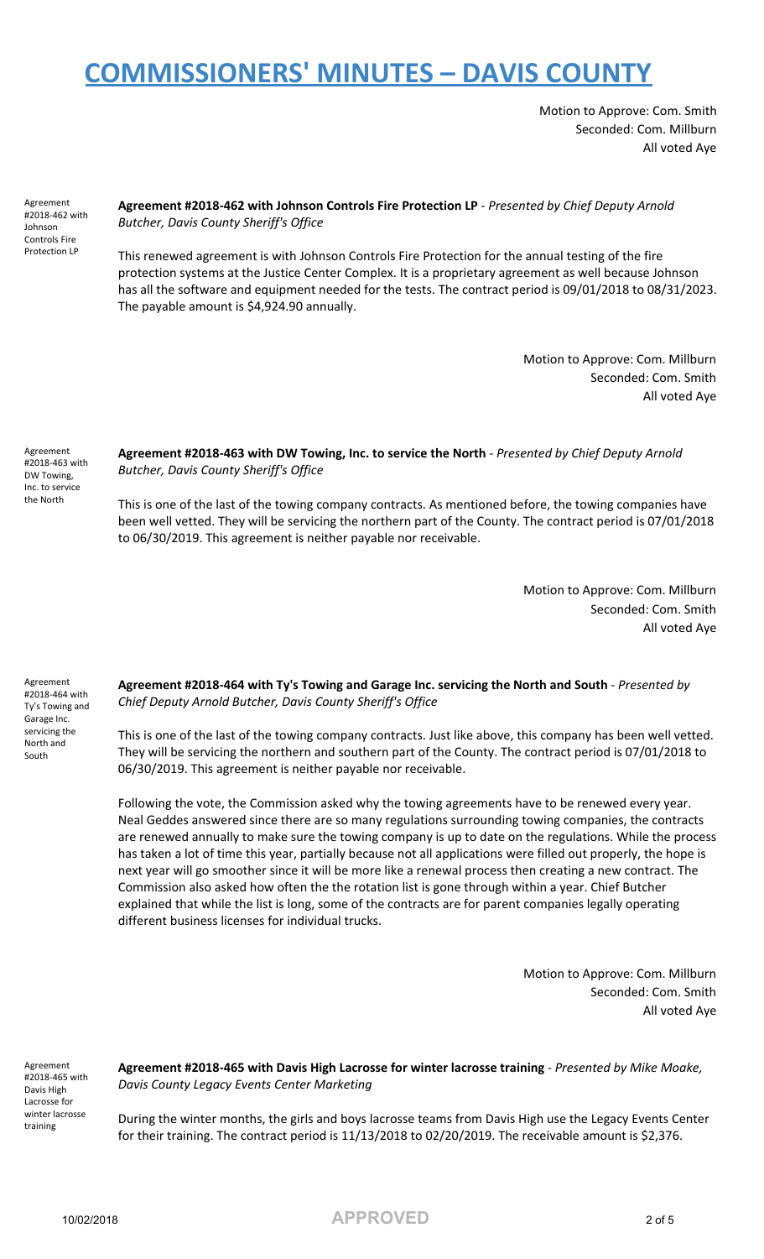Motion to Approve: Com. Smith Seconded: Com. Millburn All voted Aye

Agreement #2018-462 with Johnson Controls Fire Protection LP

**Agreement #2018-462 with Johnson Controls Fire Protection LP** - *Presented by Chief Deputy Arnold Butcher, Davis County Sheriff's Office*

This renewed agreement is with Johnson Controls Fire Protection for the annual testing of the fire protection systems at the Justice Center Complex. It is a proprietary agreement as well because Johnson has all the software and equipment needed for the tests. The contract period is 09/01/2018 to 08/31/2023. The payable amount is \$4,924.90 annually.

> Motion to Approve: Com. Millburn Seconded: Com. Smith All voted Aye

Agreement #2018-463 with DW Towing, Inc. to service the North

Agreement #2018-464 with Ty's Towing and Garage Inc. servicing the North and South

**Agreement #2018-463 with DW Towing, Inc. to service the North** - *Presented by Chief Deputy Arnold Butcher, Davis County Sheriff's Office*

This is one of the last of the towing company contracts. As mentioned before, the towing companies have been well vetted. They will be servicing the northern part of the County. The contract period is 07/01/2018 to 06/30/2019. This agreement is neither payable nor receivable.

> Motion to Approve: Com. Millburn Seconded: Com. Smith All voted Aye

**Agreement #2018-464 with Ty's Towing and Garage Inc. servicing the North and South** - *Presented by Chief Deputy Arnold Butcher, Davis County Sheriff's Office*

This is one of the last of the towing company contracts. Just like above, this company has been well vetted. They will be servicing the northern and southern part of the County. The contract period is 07/01/2018 to 06/30/2019. This agreement is neither payable nor receivable.

Following the vote, the Commission asked why the towing agreements have to be renewed every year. Neal Geddes answered since there are so many regulations surrounding towing companies, the contracts are renewed annually to make sure the towing company is up to date on the regulations. While the process has taken a lot of time this year, partially because not all applications were filled out properly, the hope is next year will go smoother since it will be more like a renewal process then creating a new contract. The Commission also asked how often the the rotation list is gone through within a year. Chief Butcher explained that while the list is long, some of the contracts are for parent companies legally operating different business licenses for individual trucks.

> Motion to Approve: Com. Millburn Seconded: Com. Smith All voted Aye

Agreement #2018-465 with Davis High Lacrosse for winter lacrosse training

**Agreement #2018-465 with Davis High Lacrosse for winter lacrosse training** - *Presented by Mike Moake, Davis County Legacy Events Center Marketing*

During the winter months, the girls and boys lacrosse teams from Davis High use the Legacy Events Center for their training. The contract period is 11/13/2018 to 02/20/2019. The receivable amount is \$2,376.

10/02/2018 **APPROVED** 2 of 5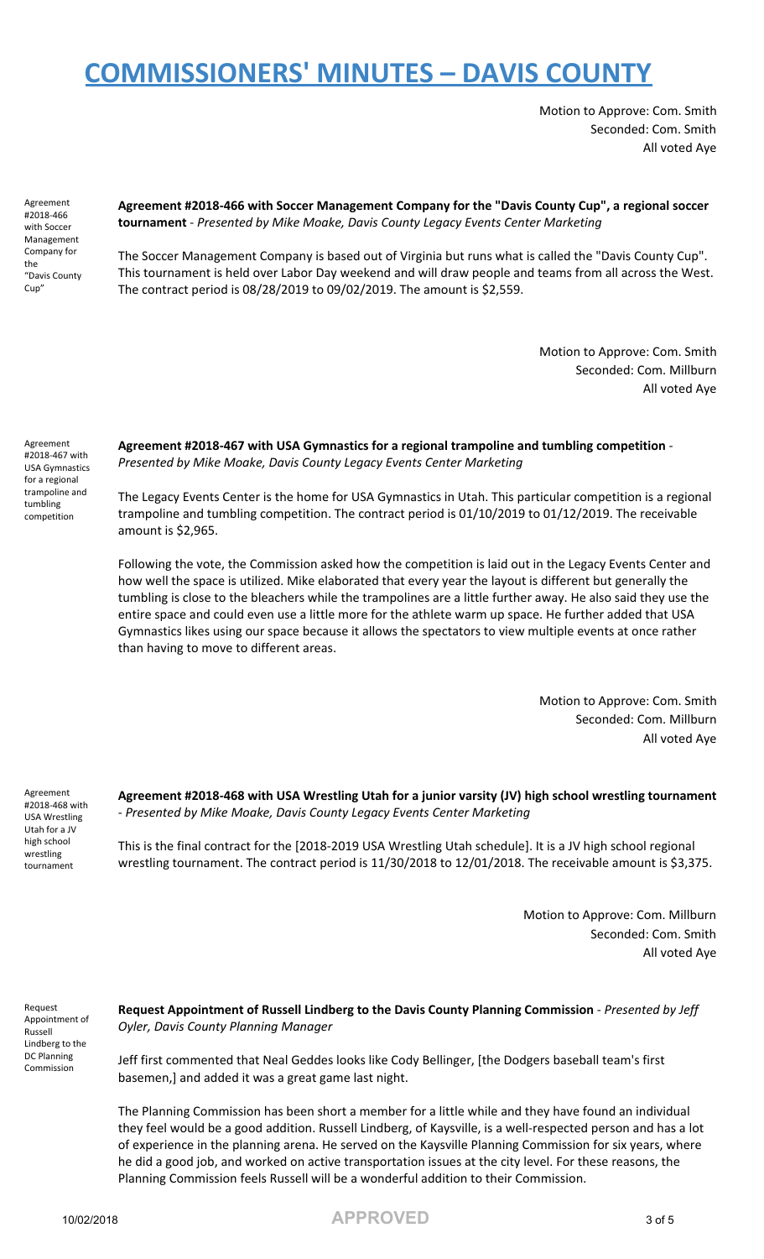Motion to Approve: Com. Smith Seconded: Com. Smith All voted Aye

Agreement #2018-466 with Soccer Management Company for the "Davis County Cup"

**Agreement #2018-466 with Soccer Management Company for the "Davis County Cup", a regional soccer tournament** - *Presented by Mike Moake, Davis County Legacy Events Center Marketing*

The Soccer Management Company is based out of Virginia but runs what is called the "Davis County Cup". This tournament is held over Labor Day weekend and will draw people and teams from all across the West. The contract period is 08/28/2019 to 09/02/2019. The amount is \$2,559.

> Motion to Approve: Com. Smith Seconded: Com. Millburn All voted Aye

Agreement #2018-467 with USA Gymnastics for a regional trampoline and tumbling competition

**Agreement #2018-467 with USA Gymnastics for a regional trampoline and tumbling competition** - *Presented by Mike Moake, Davis County Legacy Events Center Marketing*

The Legacy Events Center is the home for USA Gymnastics in Utah. This particular competition is a regional trampoline and tumbling competition. The contract period is 01/10/2019 to 01/12/2019. The receivable amount is \$2,965.

Following the vote, the Commission asked how the competition is laid out in the Legacy Events Center and how well the space is utilized. Mike elaborated that every year the layout is different but generally the tumbling is close to the bleachers while the trampolines are a little further away. He also said they use the entire space and could even use a little more for the athlete warm up space. He further added that USA Gymnastics likes using our space because it allows the spectators to view multiple events at once rather than having to move to different areas.

> Motion to Approve: Com. Smith Seconded: Com. Millburn All voted Aye

Agreement #2018-468 with USA Wrestling Utah for a JV high school wrestling tournament

**Agreement #2018-468 with USA Wrestling Utah for a junior varsity (JV) high school wrestling tournament** - *Presented by Mike Moake, Davis County Legacy Events Center Marketing*

This is the final contract for the [2018-2019 USA Wrestling Utah schedule]. It is a JV high school regional wrestling tournament. The contract period is 11/30/2018 to 12/01/2018. The receivable amount is \$3,375.

> Motion to Approve: Com. Millburn Seconded: Com. Smith All voted Aye

Request Appointment of Russell Lindberg to the DC Planning Commission

**Request Appointment of Russell Lindberg to the Davis County Planning Commission** - *Presented by Jeff Oyler, Davis County Planning Manager*

Jeff first commented that Neal Geddes looks like Cody Bellinger, [the Dodgers baseball team's first basemen,] and added it was a great game last night.

The Planning Commission has been short a member for a little while and they have found an individual they feel would be a good addition. Russell Lindberg, of Kaysville, is a well-respected person and has a lot of experience in the planning arena. He served on the Kaysville Planning Commission for six years, where he did a good job, and worked on active transportation issues at the city level. For these reasons, the Planning Commission feels Russell will be a wonderful addition to their Commission.

10/02/2018 **APPROVED** 3 of 5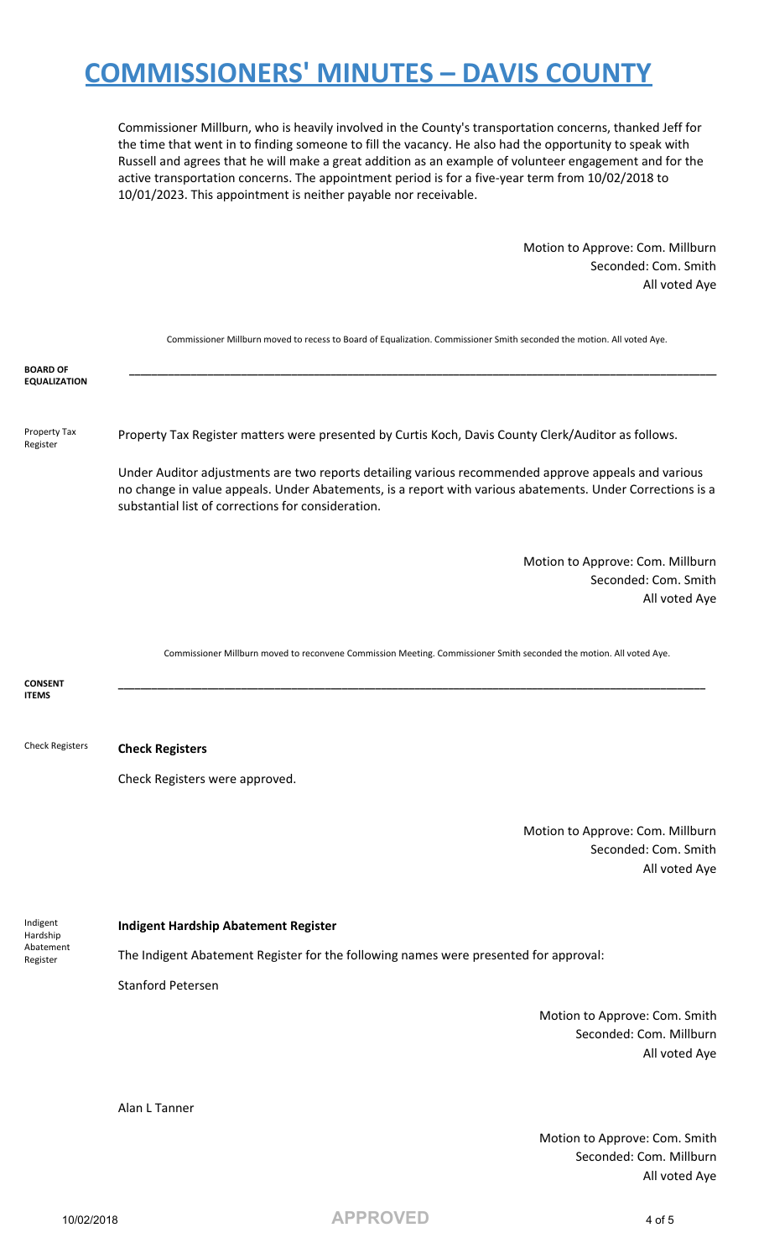Commissioner Millburn, who is heavily involved in the County's transportation concerns, thanked Jeff for the time that went in to finding someone to fill the vacancy. He also had the opportunity to speak with Russell and agrees that he will make a great addition as an example of volunteer engagement and for the active transportation concerns. The appointment period is for a five-year term from 10/02/2018 to 10/01/2023. This appointment is neither payable nor receivable.

> Motion to Approve: Com. Millburn Seconded: Com. Smith All voted Aye

|                                               | Commissioner Millburn moved to recess to Board of Equalization. Commissioner Smith seconded the motion. All voted Aye.                                                                                                                                                 |
|-----------------------------------------------|------------------------------------------------------------------------------------------------------------------------------------------------------------------------------------------------------------------------------------------------------------------------|
| <b>BOARD OF</b><br><b>EQUALIZATION</b>        |                                                                                                                                                                                                                                                                        |
| Property Tax<br>Register                      | Property Tax Register matters were presented by Curtis Koch, Davis County Clerk/Auditor as follows.                                                                                                                                                                    |
|                                               | Under Auditor adjustments are two reports detailing various recommended approve appeals and various<br>no change in value appeals. Under Abatements, is a report with various abatements. Under Corrections is a<br>substantial list of corrections for consideration. |
|                                               | Motion to Approve: Com. Millburn<br>Seconded: Com. Smith<br>All voted Aye                                                                                                                                                                                              |
|                                               | Commissioner Millburn moved to reconvene Commission Meeting. Commissioner Smith seconded the motion. All voted Aye.                                                                                                                                                    |
| <b>CONSENT</b><br><b>ITEMS</b>                |                                                                                                                                                                                                                                                                        |
| <b>Check Registers</b>                        | <b>Check Registers</b>                                                                                                                                                                                                                                                 |
|                                               | Check Registers were approved.                                                                                                                                                                                                                                         |
|                                               | Motion to Approve: Com. Millburn<br>Seconded: Com. Smith<br>All voted Aye                                                                                                                                                                                              |
| Indigent<br>Hardship<br>Abatement<br>Register | <b>Indigent Hardship Abatement Register</b>                                                                                                                                                                                                                            |
|                                               | The Indigent Abatement Register for the following names were presented for approval:                                                                                                                                                                                   |
|                                               | <b>Stanford Petersen</b>                                                                                                                                                                                                                                               |
|                                               | Motion to Approve: Com. Smith<br>Seconded: Com. Millburn<br>All voted Aye                                                                                                                                                                                              |
|                                               | Alan L Tanner                                                                                                                                                                                                                                                          |
|                                               | Motion to Approve: Com. Smith<br>Seconded: Com. Millburn<br>All voted Aye                                                                                                                                                                                              |

10/02/2018 **APPROVED** 4 of 5